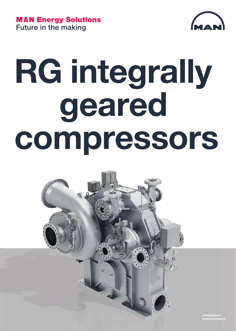**MAN Energy Solutions Future in the making** 



# **RG integrally geared compressors**



**turbomachinery**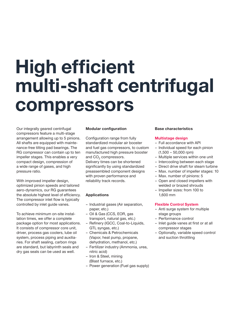## **High efficient multi-shaft centrifugal compressors**

Our integrally geared centrifugal compressors feature a multi-stage arrangement allowing up to 5 pinions. All shafts are equipped with maintenance-free tilting pad bearings. The RG compressor can contain up to ten impeller stages. This enables a very compact design, compression of a wide range of gases, and high pressure ratio.

With improved impeller design, optimized pinion speeds and tailored aero-dynamics, our RG guarantees the absolute highest level of efficiency. The compressor inlet flow is typically controlled by inlet guide vanes.

To achieve minimum on-site installation times, we offer a complete package option for most applications. It consists of compressor core unit, driver, process gas coolers, lube oil system, process piping and auxiliaries. For shaft sealing, carbon rings are standard, but labyrinth seals and dry gas seals can be used as well.

#### **Modular configuration**

Configuration range from fully standardized modular air booster and fuel gas compressors, to custom manufactured high pressure booster and CO<sub>2</sub> compressors. Delivery times can be shortened significantly by using standardized preassembled component designs with proven performance and reliability track records.

#### **Applications**

- Industrial gases (Air separation, paper, etc.)
- Oil & Gas (CCS, EOR, gas transport, natural gas, etc.)
- Refinery (IGCC, Coal-to-Liquids, GTL syngas, etc.)
- Chemicals & Petrochemicals (Vapor, heat pump, propane, dehydration, methanol, etc.)
- Fertilizer industry (Ammonia, urea, nitric acid)
- Iron & Steel, mining (Blast furnace, etc.)
- Power generation (Fuel gas supply)

#### **Base characteristics**

#### **Multistage design**

- Full accordance with API
- Individual speed for each pinion (1,500 – 50,000 rpm)
- Multiple services within one unit
- Intercooling between each stage
- Direct drive shaft for steam turbine
- Max. number of impeller stages: 10
- Max. number of pinions: 5
- Open and closed impellers with welded or brazed shrouds
- Impeller sizes: from 100 to 1,600 mm

#### **Flexible Control System**

- Anti surge system for multiple stage groups
- Performance control
- Inlet guide vanes at first or at all compressor stages
- Optionally, variable speed control and suction throttling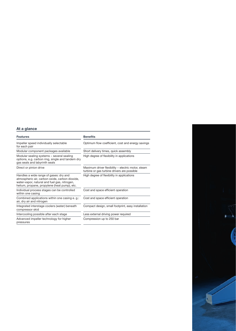#### **At a glance**

| <b>Benefits</b>                                                                                   |  |  |  |  |
|---------------------------------------------------------------------------------------------------|--|--|--|--|
| Optimum flow coefficient, cost and energy savings                                                 |  |  |  |  |
| Short delivery times, quick assembly                                                              |  |  |  |  |
| High degree of flexibility in applications                                                        |  |  |  |  |
| Maximum driver flexibility - electric motor, steam<br>turbine or gas turbine drivers are possible |  |  |  |  |
| High degree of flexibility in applications                                                        |  |  |  |  |
| Cost and space efficient operation                                                                |  |  |  |  |
| Cost and space efficient operation                                                                |  |  |  |  |
| Compact design, small footprint, easy installation                                                |  |  |  |  |
| Less external driving power required                                                              |  |  |  |  |
| Compression up to 250 bar                                                                         |  |  |  |  |
|                                                                                                   |  |  |  |  |

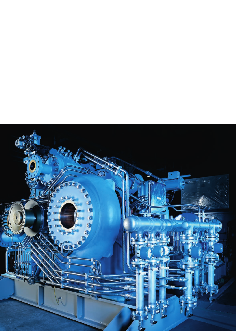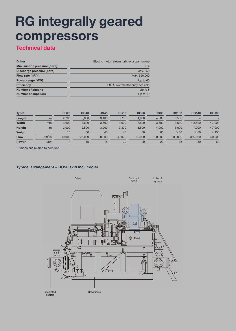### **RG integrally geared compressors**

#### **Technical data**

| <b>Driver</b>                   | Electric motor, steam turbine or gas turbine |
|---------------------------------|----------------------------------------------|
| Min. suction pressure [bara]    | 0.4                                          |
| Discharge pressure [bara]       | Max. 250                                     |
| Flow rate $\lceil m^3/h \rceil$ | Max. 550,000                                 |
| <b>Power range [MW]</b>         | Up to $60$                                   |
| <b>Efficiency</b>               | > 80% overall efficiency possible            |
| <b>Number of pinions</b>        | Up to $5$                                    |
| <b>Number of impellers</b>      | Up to 10                                     |

| Type*        |                    | <b>RG25</b> | <b>RG40</b> | <b>RG45</b> | <b>RG50</b> | <b>RG56</b> | <b>RG80</b> | <b>RG100</b> | <b>RG140</b>             | <b>RG160</b> |
|--------------|--------------------|-------------|-------------|-------------|-------------|-------------|-------------|--------------|--------------------------|--------------|
| Length       | mm                 | 2.700       | 3.000       | 3.400       | 3.700       | 4.000       | 4.500       | 5.500        | $\overline{\phantom{a}}$ |              |
| <b>Width</b> | mm                 | 3.600       | 3.600       | 3.600       | 3.600       | 3.600       | 3.600       | 3.600        | > 3.600                  | > 7.000      |
| Height       | mm                 | 2.000       | 2.500       | 3.000       | 3.300       | 3.500       | 4.000       | 5.000        | 7.000                    | > 7,000      |
| Weight       |                    | 15          | 30          | 40          | 45          | 50          | 60          | >60          | >60                      | >130         |
| <b>Flow</b>  | Am <sup>3</sup> /h | 10.000      | 25,000      | 30,000      | 40,000      | 50,000      | 100.000     | 200,000      | 350,000                  | 550,000      |
| <b>Power</b> | <b>MW</b>          |             | 15          | 18          | 20          | 20          | 20          | 35           | 50                       | 60           |

\*Dimensions related to core unit

#### **Typical arrangement – RG56 skid incl. cooler**